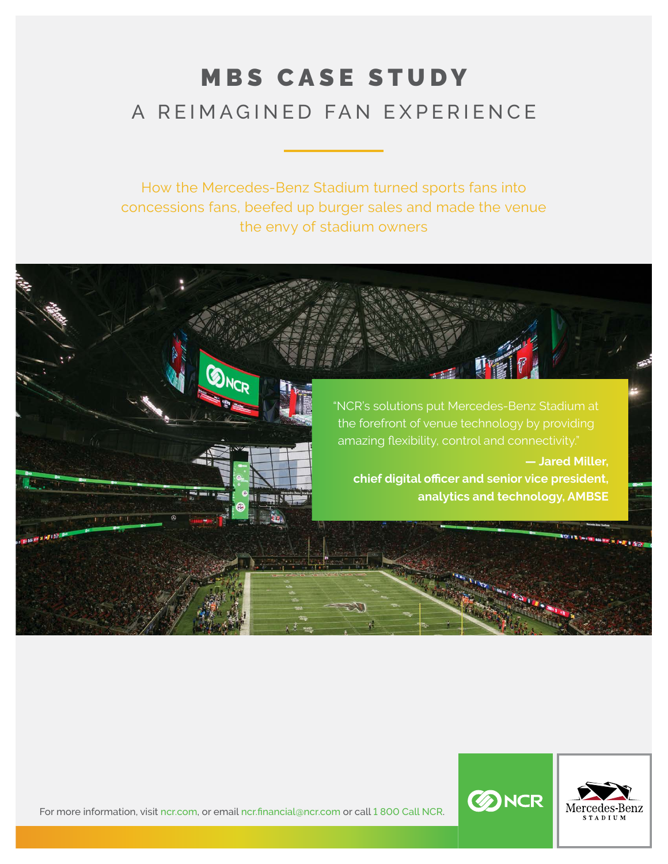# MBS CASE STUDY A REIMAGINED FAN EXPERIENCE

How the Mercedes-Benz Stadium turned sports fans into concessions fans, beefed up burger sales and made the venue the envy of stadium owners





For more information, visit [ncr.com,](http://www.ncr.com) or email [ncr.financial@ncr.com](mailto:ncr.financial%40ncr.com?subject=) or call 1 800 Call NCR.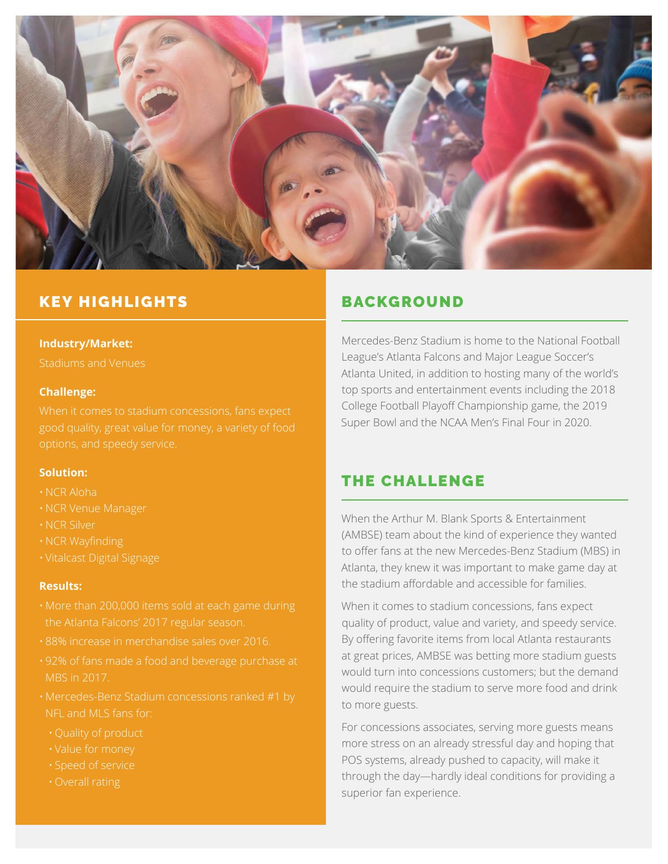

# KEY HIGHLIGHTS BACKGROUND

#### **Industry/Market:**

Stadiums and Venues

#### **Challenge:**

#### **Solution:**

- NCR Aloha
- NCR Venue Manager
- NCR Silver
- NCR Wayfinding
- 

#### **Results:**

- 
- 88% increase in merchandise sales over 2016.
- 92% of fans made a food and beverage purchase at MBS in 2017.
- Mercedes-Benz Stadium concessions ranked #1 by NFL and MLS fans for:
	-
	- Value for money
	- Speed of service
	-

Mercedes-Benz Stadium is home to the National Football League's Atlanta Falcons and Major League Soccer's Atlanta United, in addition to hosting many of the world's top sports and entertainment events including the 2018 College Football Playoff Championship game, the 2019 Super Bowl and the NCAA Men's Final Four in 2020.

# THE CHALLENGE

When the Arthur M. Blank Sports & Entertainment (AMBSE) team about the kind of experience they wanted to offer fans at the new Mercedes-Benz Stadium (MBS) in Atlanta, they knew it was important to make game day at the stadium affordable and accessible for families.

When it comes to stadium concessions, fans expect quality of product, value and variety, and speedy service. By offering favorite items from local Atlanta restaurants at great prices, AMBSE was betting more stadium guests would turn into concessions customers; but the demand would require the stadium to serve more food and drink to more guests.

For concessions associates, serving more guests means more stress on an already stressful day and hoping that POS systems, already pushed to capacity, will make it through the day—hardly ideal conditions for providing a superior fan experience.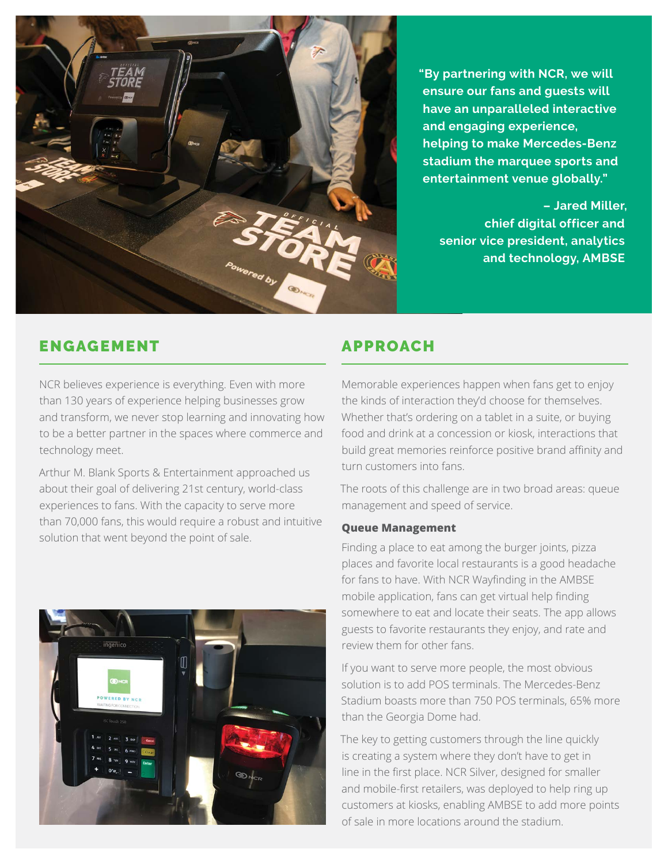

**"By partnering with NCR, we will ensure our fans and guests will have an unparalleled interactive and engaging experience, helping to make Mercedes-Benz stadium the marquee sports and entertainment venue globally."**

**– Jared Miller, chief digital officer and senior vice president, analytics and technology, AMBSE**

# ENGAGEMENT APPROACH

NCR believes experience is everything. Even with more than 130 years of experience helping businesses grow and transform, we never stop learning and innovating how to be a better partner in the spaces where commerce and technology meet.

Arthur M. Blank Sports & Entertainment approached us about their goal of delivering 21st century, world-class experiences to fans. With the capacity to serve more than 70,000 fans, this would require a robust and intuitive solution that went beyond the point of sale.



Memorable experiences happen when fans get to enjoy the kinds of interaction they'd choose for themselves. Whether that's ordering on a tablet in a suite, or buying food and drink at a concession or kiosk, interactions that build great memories reinforce positive brand affinity and turn customers into fans.

The roots of this challenge are in two broad areas: queue management and speed of service.

### **Queue Management**

Finding a place to eat among the burger joints, pizza places and favorite local restaurants is a good headache for fans to have. With NCR Wayfinding in the AMBSE mobile application, fans can get virtual help finding somewhere to eat and locate their seats. The app allows guests to favorite restaurants they enjoy, and rate and review them for other fans.

If you want to serve more people, the most obvious solution is to add POS terminals. The Mercedes-Benz Stadium boasts more than 750 POS terminals, 65% more than the Georgia Dome had.

The key to getting customers through the line quickly is creating a system where they don't have to get in line in the first place. NCR Silver, designed for smaller and mobile-first retailers, was deployed to help ring up customers at kiosks, enabling AMBSE to add more points of sale in more locations around the stadium.